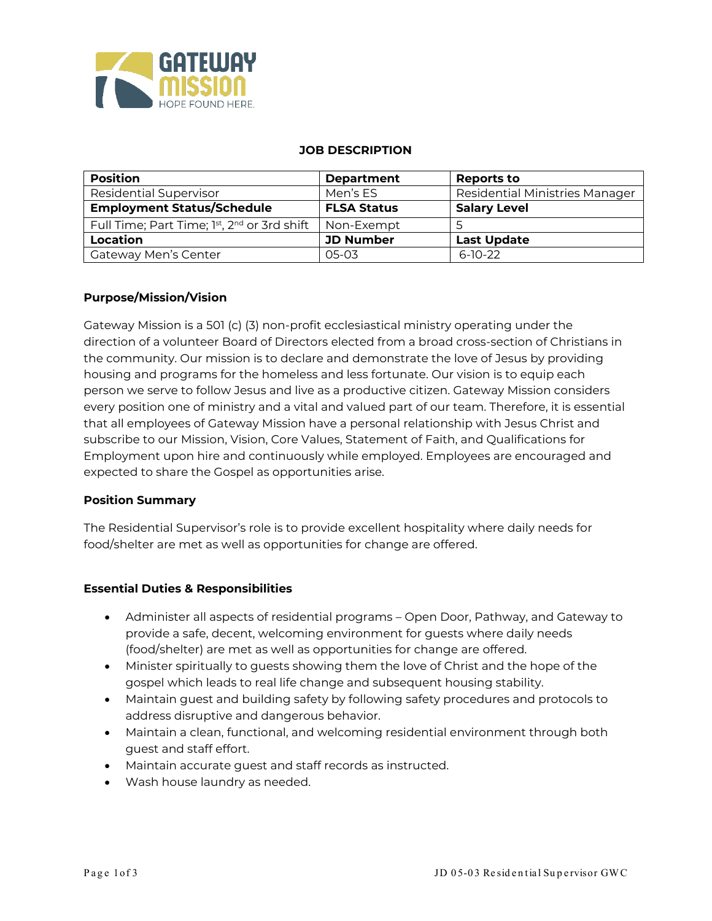

#### **JOB DESCRIPTION**

| <b>Position</b>                             | <b>Department</b>  | <b>Reports to</b>              |
|---------------------------------------------|--------------------|--------------------------------|
| <b>Residential Supervisor</b>               | Men's ES           | Residential Ministries Manager |
| <b>Employment Status/Schedule</b>           | <b>FLSA Status</b> | <b>Salary Level</b>            |
| Full Time; Part Time; 1st, 2nd or 3rd shift | Non-Exempt         |                                |
| Location                                    | <b>JD Number</b>   | <b>Last Update</b>             |
| <b>Gateway Men's Center</b>                 | 05-03              | $6-10-22$                      |

#### **Purpose/Mission/Vision**

Gateway Mission is a 501 (c) (3) non-profit ecclesiastical ministry operating under the direction of a volunteer Board of Directors elected from a broad cross-section of Christians in the community. Our mission is to declare and demonstrate the love of Jesus by providing housing and programs for the homeless and less fortunate. Our vision is to equip each person we serve to follow Jesus and live as a productive citizen. Gateway Mission considers every position one of ministry and a vital and valued part of our team. Therefore, it is essential that all employees of Gateway Mission have a personal relationship with Jesus Christ and subscribe to our Mission, Vision, Core Values, Statement of Faith, and Qualifications for Employment upon hire and continuously while employed. Employees are encouraged and expected to share the Gospel as opportunities arise.

#### **Position Summary**

The Residential Supervisor's role is to provide excellent hospitality where daily needs for food/shelter are met as well as opportunities for change are offered.

#### **Essential Duties & Responsibilities**

- Administer all aspects of residential programs Open Door, Pathway, and Gateway to provide a safe, decent, welcoming environment for guests where daily needs (food/shelter) are met as well as opportunities for change are offered.
- Minister spiritually to guests showing them the love of Christ and the hope of the gospel which leads to real life change and subsequent housing stability.
- Maintain guest and building safety by following safety procedures and protocols to address disruptive and dangerous behavior.
- Maintain a clean, functional, and welcoming residential environment through both guest and staff effort.
- Maintain accurate guest and staff records as instructed.
- Wash house laundry as needed.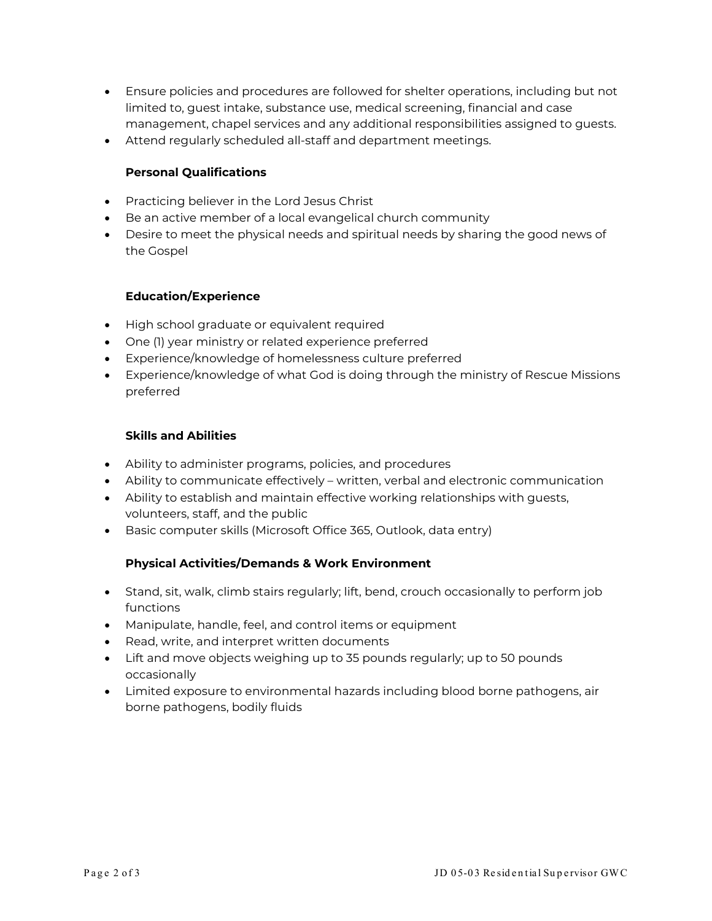- Ensure policies and procedures are followed for shelter operations, including but not limited to, guest intake, substance use, medical screening, financial and case management, chapel services and any additional responsibilities assigned to guests.
- Attend regularly scheduled all-staff and department meetings.

## **Personal Qualifications**

- Practicing believer in the Lord Jesus Christ
- Be an active member of a local evangelical church community
- Desire to meet the physical needs and spiritual needs by sharing the good news of the Gospel

# **Education/Experience**

- High school graduate or equivalent required
- One (1) year ministry or related experience preferred
- Experience/knowledge of homelessness culture preferred
- Experience/knowledge of what God is doing through the ministry of Rescue Missions preferred

### **Skills and Abilities**

- Ability to administer programs, policies, and procedures
- Ability to communicate effectively written, verbal and electronic communication
- Ability to establish and maintain effective working relationships with guests, volunteers, staff, and the public
- Basic computer skills (Microsoft Office 365, Outlook, data entry)

### **Physical Activities/Demands & Work Environment**

- Stand, sit, walk, climb stairs regularly; lift, bend, crouch occasionally to perform job functions
- Manipulate, handle, feel, and control items or equipment
- Read, write, and interpret written documents
- Lift and move objects weighing up to 35 pounds regularly; up to 50 pounds occasionally
- Limited exposure to environmental hazards including blood borne pathogens, air borne pathogens, bodily fluids